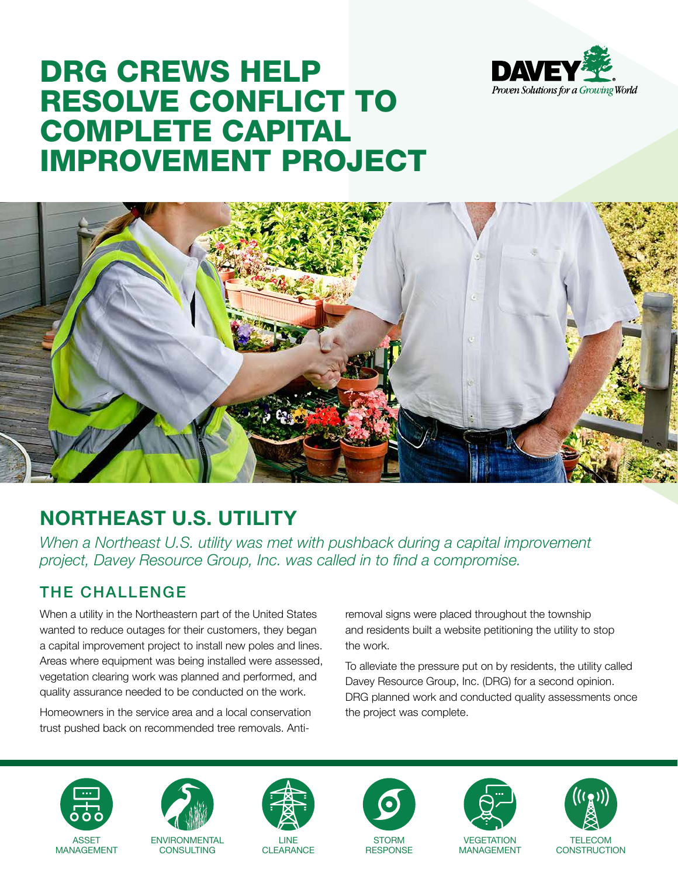

# DRG CREWS HELP RESOLVE CONFLICT TO COMPLETE CAPITAL IMPROVEMENT PROJECT



## **NORTHEAST U.S. UTILITY**

*When a Northeast U.S. utility was met with pushback during a capital improvement project, Davey Resource Group, Inc. was called in to find a compromise.*

### THE CHALLENGE

When a utility in the Northeastern part of the United States wanted to reduce outages for their customers, they began a capital improvement project to install new poles and lines. Areas where equipment was being installed were assessed, vegetation clearing work was planned and performed, and quality assurance needed to be conducted on the work.

Homeowners in the service area and a local conservation trust pushed back on recommended tree removals. Antiremoval signs were placed throughout the township and residents built a website petitioning the utility to stop the work.

To alleviate the pressure put on by residents, the utility called Davey Resource Group, Inc. (DRG) for a second opinion. DRG planned work and conducted quality assessments once the project was complete.